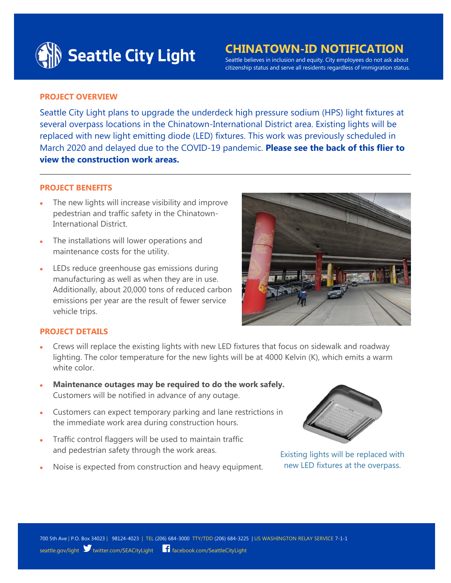

# **CHINATOWN-ID NOTIFICATION** Seattle believes in inclusion and equity. City employees do not ask about

citizenship status and serve all residents regardless of immigration status.

# **PROJECT OVERVIEW**

Seattle City Light plans to upgrade the underdeck high pressure sodium (HPS) light fixtures at several overpass locations in the Chinatown-International District area. Existing lights will be replaced with new light emitting diode (LED) fixtures. This work was previously scheduled in March 2020 and delayed due to the COVID-19 pandemic. **Please see the back of this flier to view the construction work areas.**

### **PROJECT BENEFITS**

- The new lights will increase visibility and improve pedestrian and traffic safety in the Chinatown-International District.
- The installations will lower operations and maintenance costs for the utility.
- LEDs reduce greenhouse gas emissions during manufacturing as well as when they are in use. Additionally, about 20,000 tons of reduced carbon emissions per year are the result of fewer service vehicle trips.



### **PROJECT DETAILS**

- Crews will replace the existing lights with new LED fixtures that focus on sidewalk and roadway lighting. The color temperature for the new lights will be at 4000 Kelvin (K), which emits a warm white color
- **Maintenance outages may be required to do the work safely.** Customers will be notified in advance of any outage.
- Customers can expect temporary parking and lane restrictions in the immediate work area during construction hours.
- Traffic control flaggers will be used to maintain traffic and pedestrian safety through the work areas.
- Noise is expected from construction and heavy equipment.



Existing lights will be replaced with new LED fixtures at the overpass.